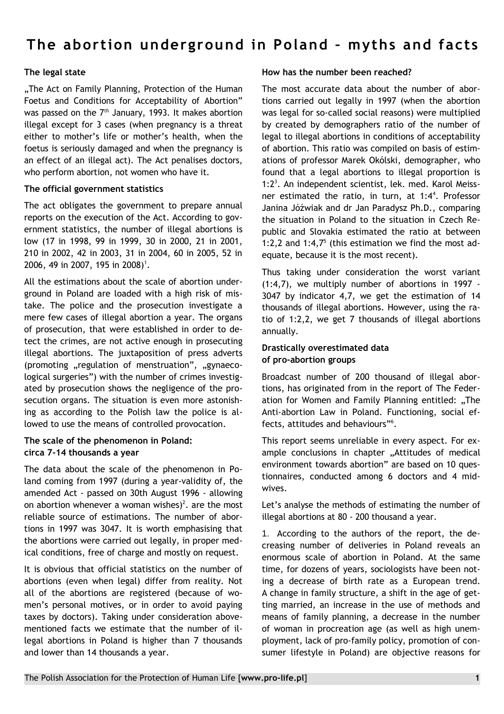# The abortion underground in Poland - myths and facts

# **The legal state**

.The Act on Family Planning, Protection of the Human Foetus and Conditions for Acceptability of Abortion" was passed on the  $7<sup>th</sup>$  January, 1993. It makes abortion illegal except for 3 cases (when pregnancy is a threat either to mother's life or mother's health, when the foetus is seriously damaged and when the pregnancy is an effect of an illegal act). The Act penalises doctors, who perform abortion, not women who have it.

## **The official government statistics**

The act obligates the government to prepare annual reports on the execution of the Act. According to government statistics, the number of illegal abortions is low (17 in 1998, 99 in 1999, 30 in 2000, 21 in 2001, 210 in 2002, 42 in 2003, 31 in 2004, 60 in 2005, 52 in 2006, 49 in 2007, 195 in 2008)<sup>1</sup>.

All the estimations about the scale of abortion underground in Poland are loaded with a high risk of mistake. The police and the prosecution investigate a mere few cases of illegal abortion a year. The organs of prosecution, that were established in order to detect the crimes, are not active enough in prosecuting illegal abortions. The juxtaposition of press adverts (promoting "regulation of menstruation", "gynaecological surgeries") with the number of crimes investigated by prosecution shows the negligence of the prosecution organs. The situation is even more astonishing as according to the Polish law the police is allowed to use the means of controlled provocation.

# **The scale of the phenomenon in Poland: circa 7-14 thousands a year**

The data about the scale of the phenomenon in Poland coming from 1997 (during a year-validity of, the amended Act - passed on 30th August 1996 - allowing on abortion whenever a woman wishes)<sup>2</sup>. are the most reliable source of estimations. The number of abortions in 1997 was 3047. It is worth emphasising that the abortions were carried out legally, in proper medical conditions, free of charge and mostly on request.

It is obvious that official statistics on the number of abortions (even when legal) differ from reality. Not all of the abortions are registered (because of women's personal motives, or in order to avoid paying taxes by doctors). Taking under consideration abovementioned facts we estimate that the number of illegal abortions in Poland is higher than 7 thousands and lower than 14 thousands a year.

## **How has the number been reached?**

The most accurate data about the number of abortions carried out legally in 1997 (when the abortion was legal for so-called social reasons) were multiplied by created by demographers ratio of the number of legal to illegal abortions in conditions of acceptability of abortion. This ratio was compiled on basis of estimations of professor Marek Okólski, demographer, who found that a legal abortions to illegal proportion is 1:2<sup>3</sup>. An independent scientist, lek. med. Karol Meissner estimated the ratio, in turn, at 1:4<sup>4</sup>. Professor Janina Jóźwiak and dr Jan Paradysz Ph.D., comparing the situation in Poland to the situation in Czech Republic and Slovakia estimated the ratio at between 1:2,2 and  $1:4,7<sup>5</sup>$  (this estimation we find the most adequate, because it is the most recent).

Thus taking under consideration the worst variant (1:4,7), we multiply number of abortions in 1997 - 3047 by indicator 4,7, we get the estimation of 14 thousands of illegal abortions. However, using the ratio of 1:2,2, we get 7 thousands of illegal abortions annually.

# **Drastically overestimated data of pro-abortion groups**

Broadcast number of 200 thousand of illegal abortions, has originated from in the report of The Federation for Women and Family Planning entitled: "The Anti-abortion Law in Poland. Functioning, social effects, attitudes and behaviours"<sup>6</sup> .

This report seems unreliable in every aspect. For example conclusions in chapter "Attitudes of medical environment towards abortion" are based on 10 questionnaires, conducted among 6 doctors and 4 midwives.

Let's analyse the methods of estimating the number of illegal abortions at 80 - 200 thousand a year.

1. According to the authors of the report, the decreasing number of deliveries in Poland reveals an enormous scale of abortion in Poland. At the same time, for dozens of years, sociologists have been noting a decrease of birth rate as a European trend. A change in family structure, a shift in the age of getting married, an increase in the use of methods and means of family planning, a decrease in the number of woman in procreation age (as well as high unemployment, lack of pro-family policy, promotion of consumer lifestyle in Poland) are objective reasons for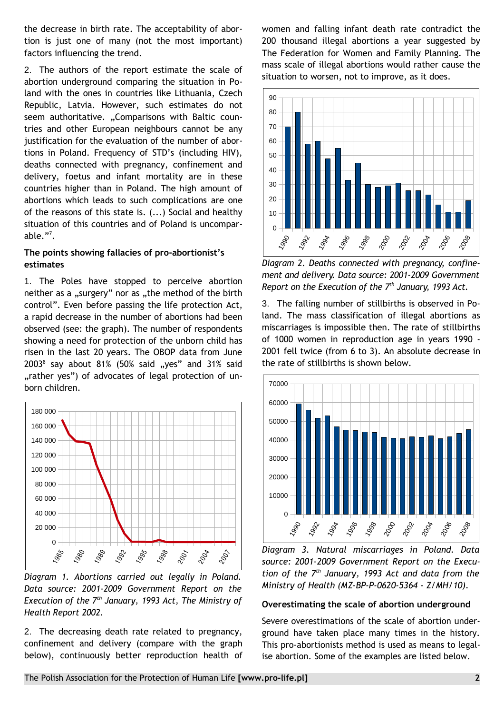the decrease in birth rate. The acceptability of abortion is just one of many (not the most important) factors influencing the trend.

2. The authors of the report estimate the scale of abortion underground comparing the situation in Poland with the ones in countries like Lithuania, Czech Republic, Latvia. However, such estimates do not seem authoritative. "Comparisons with Baltic countries and other European neighbours cannot be any justification for the evaluation of the number of abortions in Poland. Frequency of STD's (including HIV), deaths connected with pregnancy, confinement and delivery, foetus and infant mortality are in these countries higher than in Poland. The high amount of abortions which leads to such complications are one of the reasons of this state is. (...) Social and healthy situation of this countries and of Poland is uncomparable. $"'.$ 

# **The points showing fallacies of pro-abortionist's estimates**

1. The Poles have stopped to perceive abortion neither as a "surgery" nor as "the method of the birth control". Even before passing the life protection Act, a rapid decrease in the number of abortions had been observed (see: the graph). The number of respondents showing a need for protection of the unborn child has risen in the last 20 years. The OBOP data from June  $2003<sup>8</sup>$  say about  $81\%$  (50% said "yes" and 31% said "rather yes") of advocates of legal protection of unborn children.



*Diagram 1. Abortions carried out legally in Poland. Data source: 2001-2009 Government Report on the Execution of the 7th January, 1993 Act, The Ministry of Health Report 2002.*

2. The decreasing death rate related to pregnancy, confinement and delivery (compare with the graph below), continuously better reproduction health of women and falling infant death rate contradict the 200 thousand illegal abortions a year suggested by The Federation for Women and Family Planning. The mass scale of illegal abortions would rather cause the situation to worsen, not to improve, as it does.



*Diagram 2. Deaths connected with pregnancy, confinement and delivery. Data source: 2001-2009 Government Report on the Execution of the 7th January, 1993 Act.*

3. The falling number of stillbirths is observed in Poland. The mass classification of illegal abortions as miscarriages is impossible then. The rate of stillbirths of 1000 women in reproduction age in years 1990 - 2001 fell twice (from 6 to 3). An absolute decrease in the rate of stillbirths is shown below.



*Diagram 3. Natural miscarriages in Poland. Data source: 2001-2009 Government Report on the Execution of the 7th January, 1993 Act and data from the Ministry of Health (MZ-BP-P-0620-5364 - Z/MH/10).*

#### **Overestimating the scale of abortion underground**

Severe overestimations of the scale of abortion underground have taken place many times in the history. This pro-abortionists method is used as means to legalise abortion. Some of the examples are listed below.